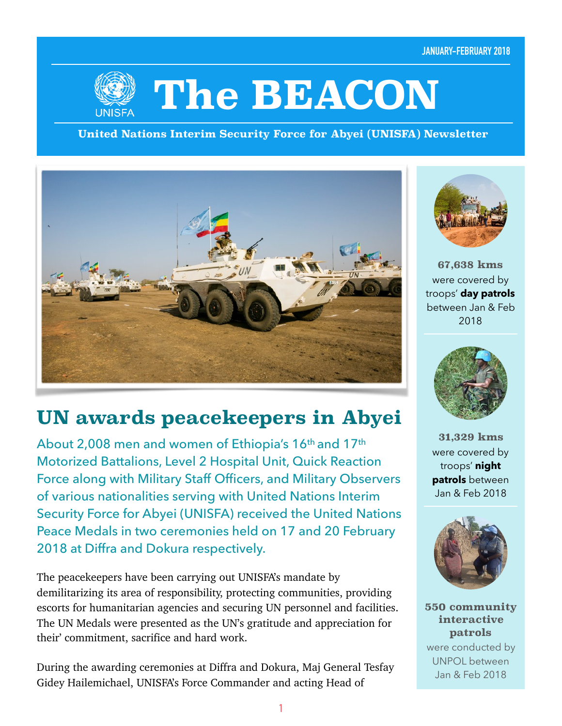**JANUARY-FEBRUARY 2018**



# **The BEACON**

**United Nations Interim Security Force for Abyei (UNISFA) Newsletter**



# **UN awards peacekeepers in Abyei**

About 2,008 men and women of Ethiopia's 16th and 17th Motorized Battalions, Level 2 Hospital Unit, Quick Reaction Force along with Military Staff Officers, and Military Observers of various nationalities serving with United Nations Interim Security Force for Abyei (UNISFA) received the United Nations Peace Medals in two ceremonies held on 17 and 20 February 2018 at Diffra and Dokura respectively.

The peacekeepers have been carrying out UNISFA's mandate by demilitarizing its area of responsibility, protecting communities, providing escorts for humanitarian agencies and securing UN personnel and facilities. The UN Medals were presented as the UN's gratitude and appreciation for their' commitment, sacrifice and hard work.

During the awarding ceremonies at Diffra and Dokura, Maj General Tesfay Gidey Hailemichael, UNISFA's Force Commander and acting Head of



**67,638 kms** were covered by troops' **day patrols**  between Jan & Feb 2018



**31,329 kms** were covered by troops' **night patrols** between Jan & Feb 2018



**550 community interactive patrols**  were conducted by UNPOL between

Jan & Feb 2018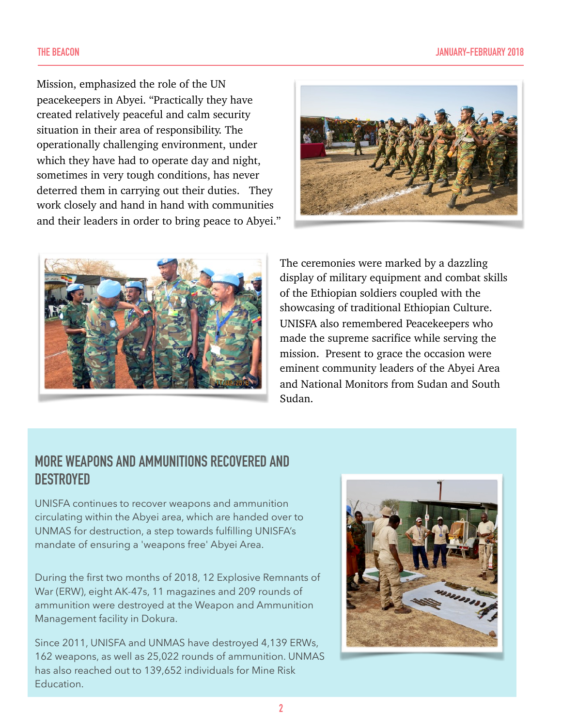Mission, emphasized the role of the UN peacekeepers in Abyei. "Practically they have created relatively peaceful and calm security situation in their area of responsibility. The operationally challenging environment, under which they have had to operate day and night, sometimes in very tough conditions, has never deterred them in carrying out their duties. They work closely and hand in hand with communities and their leaders in order to bring peace to Abyei."





The ceremonies were marked by a dazzling display of military equipment and combat skills of the Ethiopian soldiers coupled with the showcasing of traditional Ethiopian Culture. UNISFA also remembered Peacekeepers who made the supreme sacrifice while serving the mission. Present to grace the occasion were eminent community leaders of the Abyei Area and National Monitors from Sudan and South Sudan.

#### **MORE WEAPONS AND AMMUNITIONS RECOVERED AND DESTROYED**

UNISFA continues to recover weapons and ammunition circulating within the Abyei area, which are handed over to UNMAS for destruction, a step towards fulfilling UNISFA's mandate of ensuring a 'weapons free' Abyei Area.

During the first two months of 2018, 12 Explosive Remnants of War (ERW), eight AK-47s, 11 magazines and 209 rounds of ammunition were destroyed at the Weapon and Ammunition Management facility in Dokura.

Since 2011, UNISFA and UNMAS have destroyed 4,139 ERWs, 162 weapons, as well as 25,022 rounds of ammunition. UNMAS has also reached out to 139,652 individuals for Mine Risk Education.

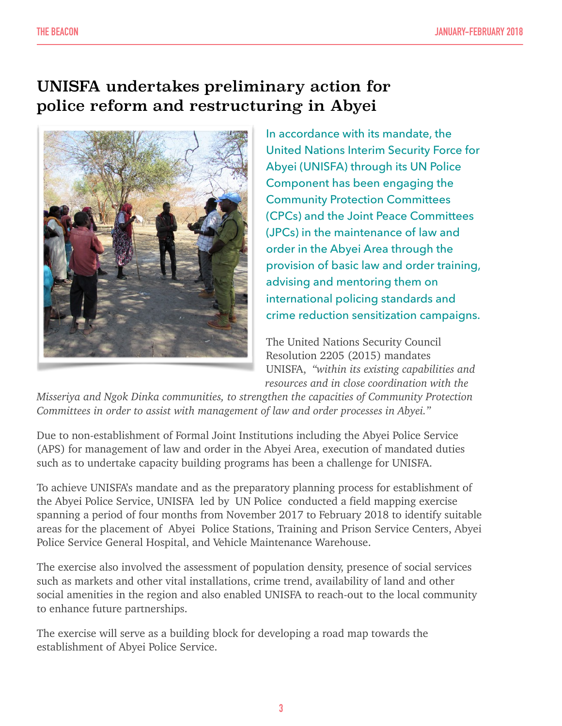## UNISFA undertakes preliminary action for police reform and restructuring in Abyei



In accordance with its mandate, the United Nations Interim Security Force for Abyei (UNISFA) through its UN Police Component has been engaging the Community Protection Committees (CPCs) and the Joint Peace Committees (JPCs) in the maintenance of law and order in the Abyei Area through the provision of basic law and order training, advising and mentoring them on international policing standards and crime reduction sensitization campaigns.

The United Nations Security Council Resolution 2205 (2015) mandates UNISFA, *"within its existing capabilities and resources and in close coordination with the* 

*Misseriya and Ngok Dinka communities, to strengthen the capacities of Community Protection Committees in order to assist with management of law and order processes in Abyei."* 

Due to non-establishment of Formal Joint Institutions including the Abyei Police Service (APS) for management of law and order in the Abyei Area, execution of mandated duties such as to undertake capacity building programs has been a challenge for UNISFA.

To achieve UNISFA's mandate and as the preparatory planning process for establishment of the Abyei Police Service, UNISFA led by UN Police conducted a field mapping exercise spanning a period of four months from November 2017 to February 2018 to identify suitable areas for the placement of Abyei Police Stations, Training and Prison Service Centers, Abyei Police Service General Hospital, and Vehicle Maintenance Warehouse.

The exercise also involved the assessment of population density, presence of social services such as markets and other vital installations, crime trend, availability of land and other social amenities in the region and also enabled UNISFA to reach-out to the local community to enhance future partnerships.

The exercise will serve as a building block for developing a road map towards the establishment of Abyei Police Service.